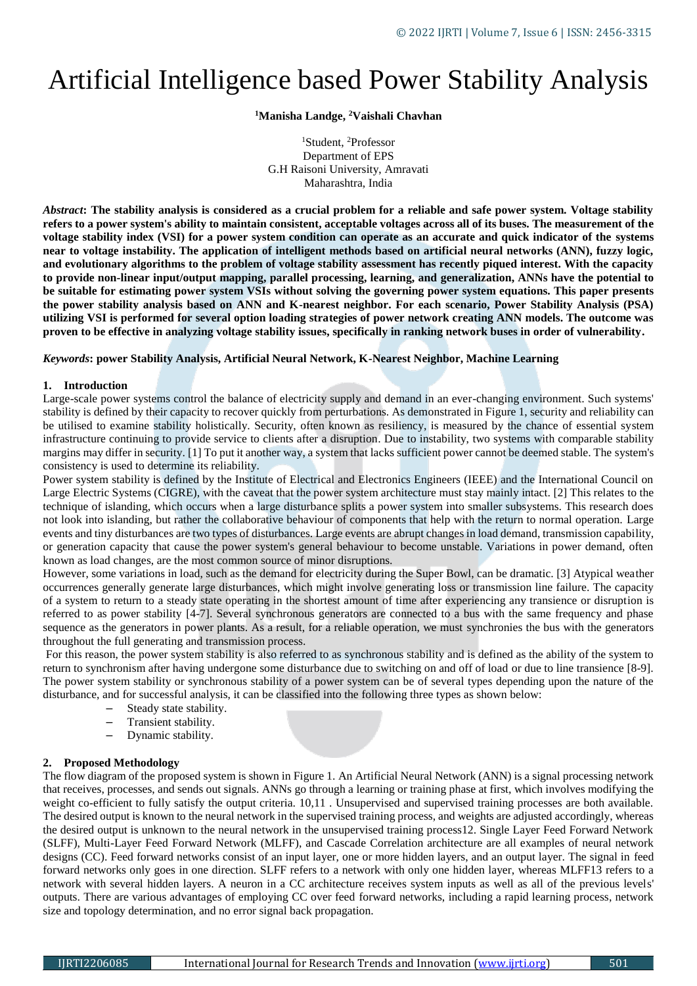# Artificial Intelligence based Power Stability Analysis

**<sup>1</sup>Manisha Landge, <sup>2</sup>Vaishali Chavhan**

<sup>1</sup>Student, <sup>2</sup>Professor Department of EPS G.H Raisoni University, Amravati Maharashtra, India

*Abstract***: The stability analysis is considered as a crucial problem for a reliable and safe power system. Voltage stability refers to a power system's ability to maintain consistent, acceptable voltages across all of its buses. The measurement of the voltage stability index (VSI) for a power system condition can operate as an accurate and quick indicator of the systems near to voltage instability. The application of intelligent methods based on artificial neural networks (ANN), fuzzy logic, and evolutionary algorithms to the problem of voltage stability assessment has recently piqued interest. With the capacity to provide non-linear input/output mapping, parallel processing, learning, and generalization, ANNs have the potential to be suitable for estimating power system VSIs without solving the governing power system equations. This paper presents the power stability analysis based on ANN and K-nearest neighbor. For each scenario, Power Stability Analysis (PSA) utilizing VSI is performed for several option loading strategies of power network creating ANN models. The outcome was proven to be effective in analyzing voltage stability issues, specifically in ranking network buses in order of vulnerability.**

*Keywords***: power Stability Analysis, Artificial Neural Network, K-Nearest Neighbor, Machine Learning**

# **1. Introduction**

Large-scale power systems control the balance of electricity supply and demand in an ever-changing environment. Such systems' stability is defined by their capacity to recover quickly from perturbations. As demonstrated in Figure 1, security and reliability can be utilised to examine stability holistically. Security, often known as resiliency, is measured by the chance of essential system infrastructure continuing to provide service to clients after a disruption. Due to instability, two systems with comparable stability margins may differ in security. [1] To put it another way, a system that lacks sufficient power cannot be deemed stable. The system's consistency is used to determine its reliability.

Power system stability is defined by the Institute of Electrical and Electronics Engineers (IEEE) and the International Council on Large Electric Systems (CIGRE), with the caveat that the power system architecture must stay mainly intact. [2] This relates to the technique of islanding, which occurs when a large disturbance splits a power system into smaller subsystems. This research does not look into islanding, but rather the collaborative behaviour of components that help with the return to normal operation. Large events and tiny disturbances are two types of disturbances. Large events are abrupt changes in load demand, transmission capability, or generation capacity that cause the power system's general behaviour to become unstable. Variations in power demand, often known as load changes, are the most common source of minor disruptions.

However, some variations in load, such as the demand for electricity during the Super Bowl, can be dramatic. [3] Atypical weather occurrences generally generate large disturbances, which might involve generating loss or transmission line failure. The capacity of a system to return to a steady state operating in the shortest amount of time after experiencing any transience or disruption is referred to as power stability [4-7]. Several synchronous generators are connected to a bus with the same frequency and phase sequence as the generators in power plants. As a result, for a reliable operation, we must synchronies the bus with the generators throughout the full generating and transmission process.

For this reason, the power system stability is also referred to as synchronous stability and is defined as the ability of the system to return to synchronism after having undergone some disturbance due to switching on and off of load or due to line transience [8-9]. The power system stability or synchronous stability of a [power system](https://www.electrical4u.com/power-system/) can be of several types depending upon the nature of the disturbance, and for successful analysis, it can be classified into the following three types as shown below:

- [Steady state stability.](https://www.electrical4u.com/steady-state-stability/)
- [Transient stability.](https://www.electrical4u.com/transient-stability-and-swing-equation/)
- Dynamic stability.

# **2. Proposed Methodology**

The flow diagram of the proposed system is shown in Figure 1. An Artificial Neural Network (ANN) is a signal processing network that receives, processes, and sends out signals. ANNs go through a learning or training phase at first, which involves modifying the weight co-efficient to fully satisfy the output criteria. 10,11 . Unsupervised and supervised training processes are both available. The desired output is known to the neural network in the supervised training process, and weights are adjusted accordingly, whereas the desired output is unknown to the neural network in the unsupervised training process12. Single Layer Feed Forward Network (SLFF), Multi-Layer Feed Forward Network (MLFF), and Cascade Correlation architecture are all examples of neural network designs (CC). Feed forward networks consist of an input layer, one or more hidden layers, and an output layer. The signal in feed forward networks only goes in one direction. SLFF refers to a network with only one hidden layer, whereas MLFF13 refers to a network with several hidden layers. A neuron in a CC architecture receives system inputs as well as all of the previous levels' outputs. There are various advantages of employing CC over feed forward networks, including a rapid learning process, network size and topology determination, and no error signal back propagation.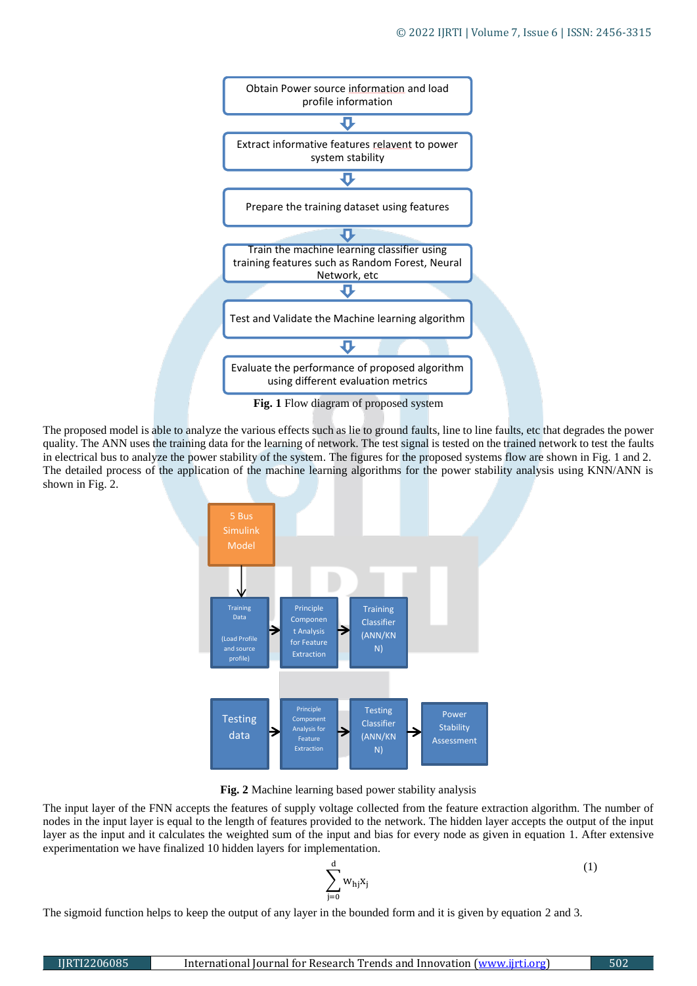

The proposed model is able to analyze the various effects such as lie to ground faults, line to line faults, etc that degrades the power quality. The ANN uses the training data for the learning of network. The test signal is tested on the trained network to test the faults in electrical bus to analyze the power stability of the system. The figures for the proposed systems flow are shown in Fig. 1 and 2. The detailed process of the application of the machine learning algorithms for the power stability analysis using KNN/ANN is shown in Fig. 2.



**Fig. 2** Machine learning based power stability analysis

The input layer of the FNN accepts the features of supply voltage collected from the feature extraction algorithm. The number of nodes in the input layer is equal to the length of features provided to the network. The hidden layer accepts the output of the input layer as the input and it calculates the weighted sum of the input and bias for every node as given in equation 1. After extensive experimentation we have finalized 10 hidden layers for implementation.

$$
\sum_{j=0}^d w_{hj}x_j
$$

The sigmoid function helps to keep the output of any layer in the bounded form and it is given by equation 2 and 3.

(1)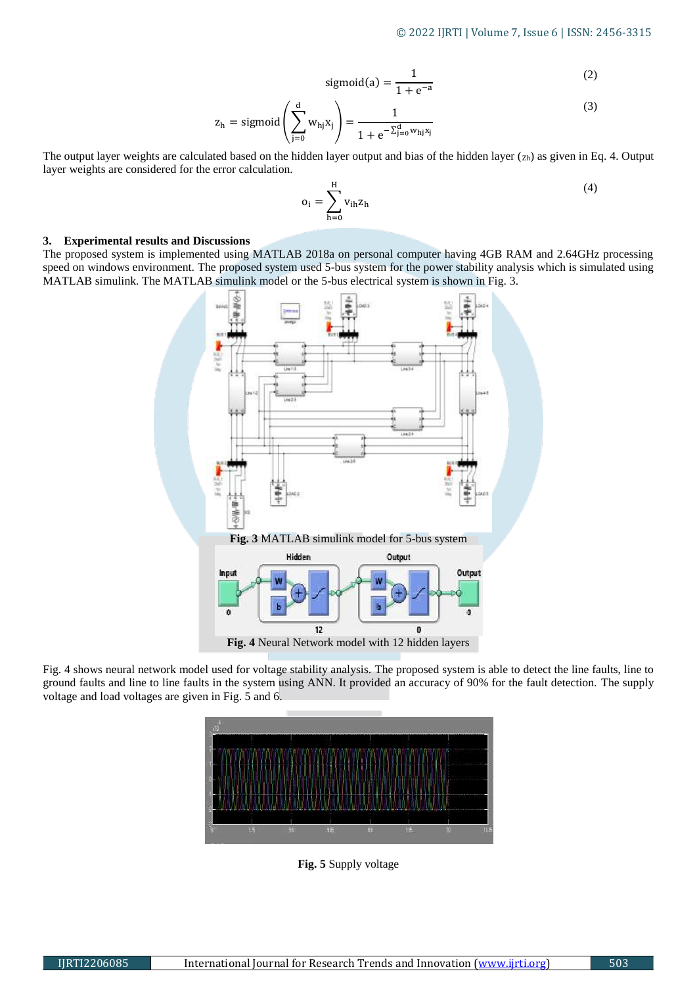$$
sigmoid(a) = \frac{1}{1 + e^{-a}}
$$
 (2)

$$
z_{h} = \text{sigmoid}\left(\sum_{j=0}^{d} w_{hj} x_{j}\right) = \frac{1}{1 + e^{-\sum_{j=0}^{d} w_{hj} x_{j}}}
$$
(3)

The output layer weights are calculated based on the hidden layer output and bias of the hidden layer  $(z_h)$  as given in Eq. 4. Output layer weights are considered for the error calculation.

$$
o_i = \sum_{h=0}^{H} v_{ih} z_h
$$
 (4)

#### **3. Experimental results and Discussions**

The proposed system is implemented using MATLAB 2018a on personal computer having 4GB RAM and 2.64GHz processing speed on windows environment. The proposed system used 5-bus system for the power stability analysis which is simulated using MATLAB simulink. The MATLAB simulink model or the 5-bus electrical system is shown in Fig. 3.



Fig. 4 shows neural network model used for voltage stability analysis. The proposed system is able to detect the line faults, line to ground faults and line to line faults in the system using ANN. It provided an accuracy of 90% for the fault detection. The supply voltage and load voltages are given in Fig. 5 and 6.



**Fig. 5** Supply voltage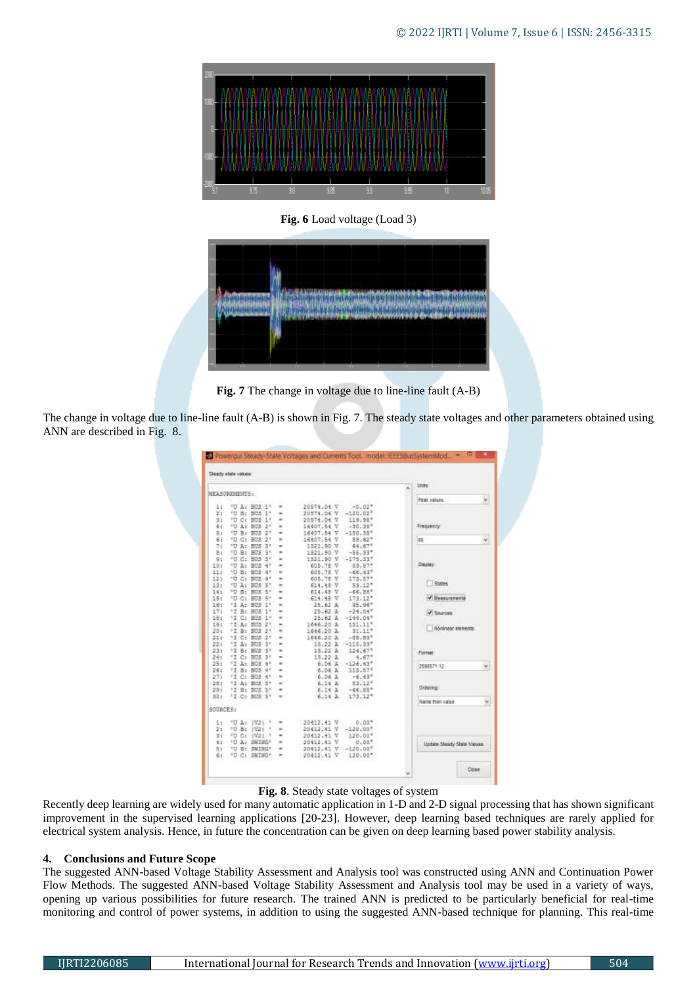

**Fig. 6** Load voltage (Load 3)



**Fig. 7** The change in voltage due to line-line fault (A-B)

The change in voltage due to line-line fault (A-B) is shown in Fig. 7. The steady state voltages and other parameters obtained using ANN are described in Fig. 8.

|                                                                                                                                    | <b>MEASUREMENTS:</b>                                                                                                                                                                                                                                                                                                                                                                                             |                                                                                                                                                                                                                                                                                                                                                                                                                                                                                                                                                                                                                                                                                                                       |                                                                                                                                                                                                                                            |                                                                                                                                                                                                                                 | <b>Units</b><br>× |                                                                               |   |
|------------------------------------------------------------------------------------------------------------------------------------|------------------------------------------------------------------------------------------------------------------------------------------------------------------------------------------------------------------------------------------------------------------------------------------------------------------------------------------------------------------------------------------------------------------|-----------------------------------------------------------------------------------------------------------------------------------------------------------------------------------------------------------------------------------------------------------------------------------------------------------------------------------------------------------------------------------------------------------------------------------------------------------------------------------------------------------------------------------------------------------------------------------------------------------------------------------------------------------------------------------------------------------------------|--------------------------------------------------------------------------------------------------------------------------------------------------------------------------------------------------------------------------------------------|---------------------------------------------------------------------------------------------------------------------------------------------------------------------------------------------------------------------------------|-------------------|-------------------------------------------------------------------------------|---|
|                                                                                                                                    |                                                                                                                                                                                                                                                                                                                                                                                                                  |                                                                                                                                                                                                                                                                                                                                                                                                                                                                                                                                                                                                                                                                                                                       |                                                                                                                                                                                                                                            |                                                                                                                                                                                                                                 |                   | <b>Peak values</b>                                                            |   |
| $1+$<br>2:<br>9.1<br>看士<br>B <sub>2</sub><br>61<br>73<br>81<br>0.5<br>101<br>11:<br>121<br>131<br>14:<br>15x<br>16:<br>171<br>18.1 | 切 A: BDS 1*<br><b>'U B: BOS</b><br>œ<br>PD Cr. 808 1*<br>10: At 805 21<br>10-51 BDS<br>21<br><b>AD Cr. BDS 21</b><br><b>10 A: 805</b><br>$\mathcal{I}$<br><b>*D B: BDS</b><br>$-3.5$<br>FD C: 805 3"<br><sup>1</sup> 0 A: 805 4'<br><b>10-8+ 808</b><br>4 <sup>1</sup><br><b>70 C: 80S</b><br>4 <sup>2</sup><br>FO At 803 51<br>YD 8: 803 5"<br>NU C: BUS 5*<br>12 At 805 11<br>17: Rr 805<br>ŢΕ<br>12 C: 805 1' | ۰<br>$\qquad \qquad =\qquad \qquad$<br>$\frac{1}{2} \left( \frac{1}{2} \right) \left( \frac{1}{2} \right) \left( \frac{1}{2} \right)$<br>۰<br>۰<br>۰<br>۰<br>×.<br>$\blacksquare$<br>$\equiv$<br>$\sim$<br>$\equiv$<br>۰<br>۰<br>$\frac{1}{2} \left( \frac{1}{2} \right) \left( \frac{1}{2} \right) \left( \frac{1}{2} \right) \left( \frac{1}{2} \right) \left( \frac{1}{2} \right) \left( \frac{1}{2} \right) \left( \frac{1}{2} \right) \left( \frac{1}{2} \right) \left( \frac{1}{2} \right) \left( \frac{1}{2} \right) \left( \frac{1}{2} \right) \left( \frac{1}{2} \right) \left( \frac{1}{2} \right) \left( \frac{1}{2} \right) \left( \frac{1}{2} \right) \left( \frac{1}{2} \right) \left( \frac$<br>$\sim$ | 20574.04 V<br>20574.04 V<br>20574.04.7<br>16407.64 V<br>16407.54 V<br>16607.54 V<br>1321.90 V<br>1821.90 V<br>1321.90 V<br>605.78 V<br>605.78 V<br>605.78 V<br>614.48 V<br>614.48 V<br>614.48.7<br>25.62A<br>25:52 <sub>4</sub><br>25.62 A | $-0.02$ *<br>$-120.027$<br>$119.98*$<br>$-30.38*$<br>$-150.38*$<br>$89.62*$<br>44.67*<br>$-55.33*$<br>$-175.337$<br>\$3.87*<br>$-66.437$<br>173.57*<br>$53.12$ *<br>$-0.01$<br>$173.12*$<br>$95.96*$<br>$-24.04*$<br>$-144.04*$ |                   | Frequency:<br>iza<br>Display.<br>Rostes<br>V Measurements<br><b>V Sharoos</b> |   |
| 19:<br>201<br>21.5<br>221<br>23:<br>241                                                                                            | 17 At 805<br>25<br>'I B: 803 2'<br>11 Cc 808 21<br>'I A: BUS 3'<br><b>1T 8r 808</b><br>33<br>12 Ct 805<br>$-31$                                                                                                                                                                                                                                                                                                  | ۰<br>۰<br>٠                                                                                                                                                                                                                                                                                                                                                                                                                                                                                                                                                                                                                                                                                                           | 1646.20 %<br>1646.20 A<br>1646.30 A<br>$13.22 - 3$<br>13.22.3<br>13.22.3                                                                                                                                                                   | 151.11*<br>$31.11*$<br>$-38.897$<br>$-115,33"$<br>124.67*<br>$4.67*$                                                                                                                                                            |                   | Nonlinear stements<br>Format                                                  |   |
| 251<br>26:                                                                                                                         | /I A: 808<br>4 <sup>1</sup><br>12 B: 805 41                                                                                                                                                                                                                                                                                                                                                                      |                                                                                                                                                                                                                                                                                                                                                                                                                                                                                                                                                                                                                                                                                                                       | 6.06.3                                                                                                                                                                                                                                     | $6.06$ Å $-126.43$ *<br>113.57*                                                                                                                                                                                                 |                   | 2690571.12                                                                    |   |
| 271<br>28:<br>293<br>301                                                                                                           | FT C1 BOS 4*<br>12 At 808 51<br>'T 9: BUS 5'<br>FE-C+ 803 ST                                                                                                                                                                                                                                                                                                                                                     | ٠<br>$\sim$<br>۰<br>$\qquad \qquad =\qquad$                                                                                                                                                                                                                                                                                                                                                                                                                                                                                                                                                                                                                                                                           | $-6.06A$<br>6.14 A<br>6.14.3<br>6.14A                                                                                                                                                                                                      | $-6.63*$<br>33,125<br>$-66.88*$<br>$173.12*$                                                                                                                                                                                    |                   | Didering                                                                      |   |
| <b>BOUNCES:</b>                                                                                                                    |                                                                                                                                                                                                                                                                                                                                                                                                                  |                                                                                                                                                                                                                                                                                                                                                                                                                                                                                                                                                                                                                                                                                                                       |                                                                                                                                                                                                                                            |                                                                                                                                                                                                                                 |                   | featon third value.                                                           | w |
| 11<br>25<br>31<br>63<br>51<br>61                                                                                                   | <b>COLLE IVES</b><br>18<br>AU 8: 1921<br>181<br><b>FD C: IVE!</b><br>9<br>"U.A. SMING" =<br>"U B: SWING"<br>"O C: SKING"                                                                                                                                                                                                                                                                                         | $\blacksquare$<br>$\qquad \qquad \blacksquare$<br>$\sim$<br>$\sim$<br>$\sim$                                                                                                                                                                                                                                                                                                                                                                                                                                                                                                                                                                                                                                          | 20412.41 V<br>20412.41 V<br>$-20412.41 - T$<br>20412.41 V<br>20412.41 V<br>20412.41 V                                                                                                                                                      | $0.00*$<br>$-120.00$ <sup>*</sup><br>120.00*<br>$0.00$ *<br>$-120.00^{\circ}$<br>120.00*                                                                                                                                        |                   | Undate Sleady State Values                                                    |   |

**Fig. 8**. Steady state voltages of system

Recently deep learning are widely used for many automatic application in 1-D and 2-D signal processing that has shown significant improvement in the supervised learning applications [20-23]. However, deep learning based techniques are rarely applied for electrical system analysis. Hence, in future the concentration can be given on deep learning based power stability analysis.

## **4. Conclusions and Future Scope**

The suggested ANN-based Voltage Stability Assessment and Analysis tool was constructed using ANN and Continuation Power Flow Methods. The suggested ANN-based Voltage Stability Assessment and Analysis tool may be used in a variety of ways, opening up various possibilities for future research. The trained ANN is predicted to be particularly beneficial for real-time monitoring and control of power systems, in addition to using the suggested ANN-based technique for planning. This real-time